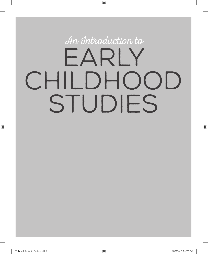# An Introduction to EARLY CHILDHOOD STUDIES

⊕

⊕

 $\bigoplus$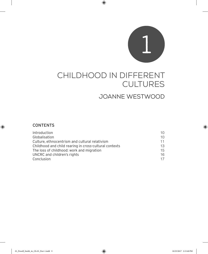

# CHILDHOOD IN DIFFERENT **CULTURES**

 $\bigoplus$ 

# Joanne Westwood

# **CONTENTS**

 $\bigoplus$ 

| Introduction                                           | 10 |
|--------------------------------------------------------|----|
| Globalisation                                          | 10 |
| Culture, ethnocentrism and cultural relativism         | 11 |
| Childhood and child rearing in cross-cultural contexts | 13 |
| The loss of childhood: work and migration              | 15 |
| UNCRC and children's rights                            | 16 |
| Conclusion                                             | 17 |

 $\bigoplus$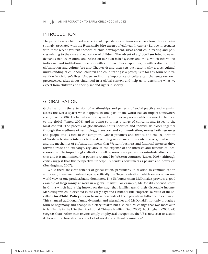⊕

## INTRODUCTION

The perception of childhood as a period of dependence and innocence has a long history. Being strongly associated with the **Romantic Movement** of eighteenth-century Europe it resonates with more recent Western theories of child development, ideas about child rearing and policies relating to the care and education of children. The advent of a **global society**, however, demands that we examine and reflect on our own belief systems and those which inform our individual and institutional practices with children. This chapter begins with a discussion of globalisation and culture (see also Chapter 4) and then sets out reasons why a cross-cultural understanding of childhood, children and child rearing is a prerequisite for any form of intervention in children's lives. Understanding the importance of culture can challenge our own preconceived ideas about childhood in a global context and help us to determine what we expect from children and their place and rights in society.

#### GLOBALISATION

Globalisation is the extension of relationships and patterns of social practice and meaning across the world space; what happens in one part of the world has an impact somewhere else (Ritzer, 2008). Globalisation is a layered and uneven process which connects the local to the global (James, 2006) and in doing so brings a range of concerns and issues to the local context. The process of globalisation shifts societies and individuals closer together through the mediums of technology, transport and communication, moves both resources and people and is tied to consumption. Global products and brands and the (re)location of Western business interests to the developing world are all the outcome of globalisation, and the mechanics of globalisation mean that Western business and financial interests drive forward trade and exchange, arguably at the expense of the interests and benefits of local economies. The impact of globalisation is felt by non-developed and non-industrialised countries and it is maintained that power is retained by Western countries (Ritzer, 2008), although critics suggest that this perspective unhelpfully renders consumers as passive and powerless (Buckingham, 2007).

While there are clear benefits of globalisation, particularly in relation to communication and speed, there are disadvantages: specifically the 'hegemonisation' which occurs when one world view or one product/brand dominates. The US burger chain McDonald's provides a good example of **hegemony** at work in a global market. For example, McDonald's opened stores in China which had a big impact on the ways that families spend their disposable income. Marketing was child-oriented in the early days and China's 'Little Emperors' (a result of the socalled **One-Child Policy**) began to make demands of their parents in hitherto unseen ways. This changed traditional family dynamics and hierarchies and McDonald's not only brought a form of hegemony and change in dietary intakes but also cultural change that was more akin to family life in the USA than traditional Chinese families (Guo, 2000). Buckingham (2007: 44) suggests that: 'rather than relying simply on physical occupation, the US is now seen to sustain its hegemony through a process of ideological and cultural domination'.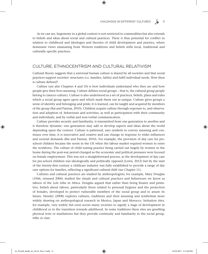As we can see, hegemony in a global context is not restricted to commodities but also extends to beliefs and ideas about social and cultural practices. There is thus potential for conflict in relation to childhood and ideologies and theories of child development and practice, where dominant views emanating from Western traditions and beliefs stifle local, traditional and culturally specific practices.

⊕

# CULTURE, ETHNOCENTRISM AND CULTURAL RELATIVISM

Cultural theory suggests that a universal human culture is shared by all societies and that social practices support societies' structures (i.e. families, faiths) and fulfil individual needs. How then is culture defined?

Culture (see also Chapters 4 and 10) is how individuals understand who they are and how people give their lives meaning. Culture defines social groups – that is, the cultural group people belong to (macro culture). Culture is also understood as a set of practices, beliefs, plans and rules which a social group agree upon and which mark them out as unique. Culture gives groups a sense of identity and belonging and pride; it is learned, can be taught and acquired by members of the group (Rai and Pannar, 2010). Children acquire culture through exposure to, and observation and adoption of, behaviours and activities, as well as participation with their community and individuals, and by verbal and non-verbal communication.

Culture provides security and familiarity, is transmitted from one generation to another and is therefore dynamic: one generation may add or develop aspects and ideas about the world depending upon the context. Culture is patterned, uses symbols to convey meaning and continues over time, it is innovative and creative and can change in response to wider influences and societal demands (Rai and Pannar, 2010). For example, the provision of day care for preschool children became the norm in the UK when the labour market required women to enter the workforce. The culture of child rearing practice being carried out largely by women in the home during the post-war period changed as the economic and political pressures were focused on female employment. This was not a straightforward process, as the development of day care for pre-school children was ideologically and politically opposed (Lewis, 2012) but by the start of the twenty-first century a childcare industry was fully established to provide a range of day care options for families, reflecting a significant cultural shift (see Chapter 11).

Cultures and cultural practices are studied by anthropologists; for example, Mary Douglas (1966, reissued 2006) studied the rituals and cultural practices and behaviours we know as taboos of the Lele tribe in Africa. Douglas argued that rather than being bizarre and primitive, beliefs about taboos, particularly those related to personal hygiene and the protection of females, developed to protect vulnerable members of the social group and to assure its future. Hendry (2008) explores cultures, traditions and their meaning and symbolism more widely drawing on anthropological research in Mexico, Japan and Morocco. Initiation rites, for example, vary widely but exist across many societies to signify a stage of development in childhood or in the transition towards adulthood. In some traditions these rites are gruelling physical tests or mutilations but they provide continuity and familiarity to the social group, tribe or clan.

⊕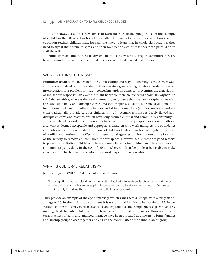It is not always easy for a 'newcomer' to learn the rules of the group; consider the example of a child in the UK who has been looked after at home before entering a reception class. In education settings children may, for example, have to learn that in whole class activities they need to signal their desire to speak and then wait to be asked or that they need permission to visit the toilet.

⊕

'Ethnocentrism' and 'cultural relativism' are concepts which also require definition if we are to understand how culture and cultural practices are both defended and criticised.

#### WHAT IS FTHNOCENTRISM?

**Ethnocentrism** is the belief that one's own culture and way of behaving is the correct way; all others are judged by this standard. Ethnocentrism generally legitimates a Western 'gaze' or interpretation of a problem or issue – concealing and, in doing so, preventing the articulation of indigenous responses. An example might be where there are concerns about HIV orphans in sub-Saharan Africa; whereas the local community may assert that the care of orphans lies with the extended family and kinship network, Western responses may include the development of institutionalised care. In cultures where extended family members (aunties, uncles, grandparents) traditionally provide care for children this ethnocentric response is deeply flawed as it disrupts customs and practices which have long ensured cultural and community continuity.

Issues related to working children also challenge our cultural perspectives about childhood and what is deemed acceptable and appropriate. Children who work transgress the boundaries and notions of childhood; indeed, the issue of child work/labour has been a longstanding point of conflict and tension in the West with international agencies and institutions at the forefront of the activity to remove children from the workplace. However, while there are good reasons to prevent exploitative child labour there are some benefits for children and their families and communities particularly in the case of poverty where children feel pride at being able to make a contribution to their family or when their work pays for their education.

#### WHAT IS CULTURAL RELATIVISM?

James and James (2012: 35) define cultural relativism as:

The recognition that societies differ in their cultural attitudes towards social phenomena and therefore no universal criteria can be applied to compare one cultural view with another. Culture can therefore only be judged through reference to their own standards.

They provide an example of the age of marriage which varies across Europe, with a fairly standard age of 16. In the Indian sub-continent it is not unusual for girls to be married at 12. In the Western context this may be seen as abusive and exploitative and campaigners suggest that early marriage leads to earlier child birth which impacts on the health of females. However, the cultural practices of early and arranged marriage have been practised as a means to bring families and kinship groups closer together and ensure the continuance of the tribe, clan or group.

01\_Powell\_Smith\_4e\_Ch-01\_Part-1.indd 12 10/25/2017 2:15:40 PM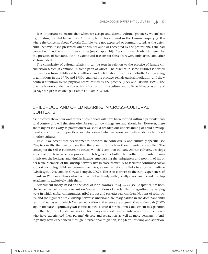#### CHILDHOOD IN DIFFERENT CULTURES 213

It is important to ensure that when we accept and defend cultural practices, we are not legitimating harmful behaviours. An example of this is found in the Laming enquiry (2003) where the concerns about Victoria Climbié were not expressed or communicated, as the deferential behaviour she presented when with her aunt was accepted by the professionals she had contact with as the norm in her culture (see Chapter 14). The child was clearly frightened by the presence of her aunt, but the extent and reasons for these fears were only articulated after Victoria's death.

⊕

The complexity of cultural relativism can be seen in relation to the practice of female circumcision which is common in some parts of Africa. The practice in some cultures is related to transition from childhood to adulthood and beliefs about healthy childbirth. Campaigning organisations in the 1970s and 1980s renamed the practice 'female genital mutilation' and drew political attention to the physical harms caused by the practice (Keck and Sikkink, 1998). The practice is now condemned by activists from within the culture and so its legitimacy as a rite of passage for girls is challenged (James and James, 2012).

# CHILDHOOD AND CHILD REARING IN CROSS-CULTURAL **CONTEXTS**

As indicated above, our own views of childhood will have been formed within a particular cultural context and will therefore often be seen as how things 'are' and 'should be'. However, there are many reasons why as practitioners we should broaden our understanding of child development and child rearing practices and also extend what we know and believe about childhood in other cultures.

First, if we accept that developmental theories are contextually and culturally specific (see Chapters 6–10), then we can see that there are limits to how these theories are applied. The concept of the self as connected to others, which is common in many African cultures, develops as part of a rich socialisation process which begins after birth. The mother of the infant communicates the heritage and kinship lineage, emphasising the uniqueness and nobility of his or her birth. Members of the kinship network live in close proximity to facilitate continued social support including childcare between members, as well as retaining links to ancestral heritage (Gbadesgin, 1998 cited in Owusu-Bempah, 2007). This is in contrast to the early experiences of infants in Western cultures who live in a nuclear family with (usually) two parents and develop attachments exclusively with them.

Attachment theory, based on the work of John Bowlby (1965[1953]) (see Chapter 7), has been challenged as being overly reliant on Western notions of the family, disregarding the varying ways in which global communities, tribal groups and societies rear children. Notions of reciprocity, and the significant role kinship networks undertake, are marginalised in the dominant child rearing theories with which Western education and science are aligned. Owusu-Bempah (2007) argues that **socio-genealogical** connectedness is crucial for children's adjustment to separation from their family or kinship networks. This theory can assist us in our interventions with children who have experienced their parents' divorce and separation as well as more permanent 'endings' they have experienced through international migration, long-term fostering and adoption.

♠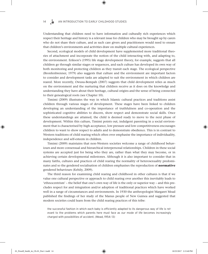Understanding that children need to have information and culturally rich experiences which respect their heritage and history is a relevant issue for children who may be brought up by carers who do not share their culture, and as such care givers and practitioners would need to ensure that children's environments and activities draw on multiple cultural experiences.

⊕

Second, ecological models of child development have supplemented more traditional theories of attachment and incorporate the notion of the child interacting with, and adapting to, the environment. Erikson's (1995) life stage development theory, for example, suggests that all children go through similar stages or sequences, and each culture has developed its own way of both monitoring and protecting children as they transit each stage. The ecological perspective (Bronfenbrenner, 1979) also suggests that culture and the environment are important factors to consider and development tasks are adapted to suit the environment in which children are reared. More recently, Owusu-Bempah (2007) suggests that child development relies as much on the environment and the nurturing that children receive as it does on the knowledge and understanding they have about their heritage, cultural origins and the sense of being connected to their genealogical roots (see Chapter 10).

Timimi (2009) illustrates the way in which Islamic cultural practices and traditions assist children through various stages of development. These stages have been linked to children developing an understanding of the importance of truthfulness and co-operation and the sophisticated cognitive abilities to discern, show respect and demonstrate social skills. Once these understandings are attained, the child is deemed ready to move to the next phase of development. Within this culture, Timimi points out, indulgent parenting in a social environment that is characterised by high acceptance, low pressure and low competitiveness encourages children to want to show respect to adults and to demonstrate obedience. This is in contrast to Western traditions of child rearing which often over emphasise the importance of individuality, independence and self-esteem in children.

Timimi (2009) maintains that non-Western societies welcome a range of childhood behaviours and more consensual and hierarchical interpersonal relationships. Children in these social systems are accepted just for being who they are, rather than what they may become, or in achieving certain developmental milestones. Although it is also important to consider that in many faiths, cultures and practices of child rearing the normality of heterosexuality predominates and so the gendered socialisation of children emphasises the reproduction of **normative** gendered behaviours (Kehily, 2009).

The third reason for examining child rearing and childhood in other cultures is that if we value one cultural perspective or approach to child rearing over another this inevitably leads to 'ethnocentrism' – the belief that one's own way of life is the only or superior way – and this precludes respect for and integration and/or adoption of traditional practices which have worked well in a range of circumstances and environments. In 1930 the anthropologist Margaret Mead published the findings of her study of the Manus people of New Guinea and suggested that modern societies could learn from the child rearing practices of this tribe:

the successful fashion in which each baby is efficiently adapted to its dangerous way of life is relevant to the problems which parents here must face as our mode of life becomes increasingly charged with possibilities of accident. (Mead, 1954: 13)

01\_Powell\_Smith\_4e\_Ch-01\_Part-1.indd 14 10/25/2017 2:15:40 PM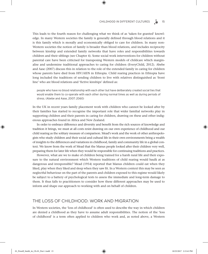#### CHILDHOOD IN DIFFERENT CULTURES 15

This leads to the fourth reason for challenging what we think of as 'taken for granted' knowledge. In many Western societies the family is generally defined through blood relations and it is this family which is morally and economically obliged to care for children. In many non-Western societies the notion of family is broader than blood relations, and includes reciprocity between kinship and extended family networks that have roles and responsibilities towards children and their siblings (see Chapter 4). Some social work interventions for children without parental care have been criticised for transposing Western models of childcare which marginalise and undermine traditional approaches to caring for children (EveryChild, 2012). Abebe and Aase (2007) discuss this in relation to the role of the extended family in caring for children whose parents have died from HIV/AIDS in Ethiopia. Child rearing practices in Ethiopia have long included the traditions of sending children to live with relatives distinguished as 'front line' who are blood relations and 'fictive kinships' defined as:

⊕

people who have no blood relationship with each other but have deliberately created social ties that would enable them to co-operate with each other during normal times as well as during periods of stress. (Abebe and Aase, 2007: 2060)

In the UK in recent years family placement work with children who cannot be looked after by their families has started to recognise the important role that wider familial networks play in supporting children and their parents in caring for children, drawing on these and other indigenous approaches found in Africa and New Zealand.

In order to embrace difference and diversity and benefit from the rich sources of knowledge and tradition it brings, we must at all costs resist drawing on our own experience of childhood and our child rearing as the solitary measure of comparison. Mead's work and the work of other anthropologists who study children and their social and cultural life in their own environments bring a wealth of insights to the differences and variations in childhood, family and community life in a global context. We know from the work of Mead that the Manus people looked after their children very well, preparing them for later life when they would be responsible for continuing traditions and practices.

However, what are we to make of children being trained for a harsh rural life and their exposure to the natural environment which Western traditions of child rearing would baulk at as dangerous and irresponsible? Mead (1954) reported that Manus children could eat when they liked, play when they liked and sleep when they saw fit. In a Western context this may be seen as neglectful behaviour on the part of the parents and children exposed to this regime would likely be subject to a battery of psychological tests to assess the immediate and long-term damage to them. It thus falls to practitioners to consider how these different approaches may be used to inform and shape our approach to working with and on behalf of children.

#### THE LOSS OF CHILDHOOD: WORK AND MIGRATION

In Western societies, the 'loss of childhood' is often used to describe the way in which children are denied a childhood as they have to assume adult responsibilities. The notion of the 'loss of childhood' is a term often applied to children who work and, as noted above, a Western

♠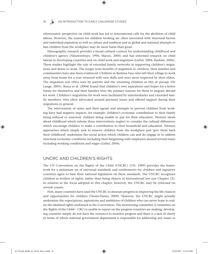ethnocentric perspective on child work has led to international calls for the abolition of child labour. However, the reasons for children working are often associated with structural factors and individual aspiration as well as culture and tradition and so global and national attempts to ban children from the workplace may do more harm than good.

⊕

Ethnographic research provides a broad cultural context for understanding childhood and children's agency (Nieuwenhuys, 1996; Manzo, 2005) and has informed research on child labour in developing countries and on child work and migration (Liebel, 2004; Hashim, 2006). These studies highlight the role of extended family networks in supporting children's migrations and desire to work. The longer term benefits of migration to children, their families and communities have also been evidenced. Children in Burkina Faso who left their village to work away from home for a year returned with new skills and were more respected by their elders. The migration was often seen by parents and the returning children as *rites de passage* (De Lange, 2005). Busza et al. (2004) found that children's own aspirations and hopes for a better future for themselves and their families were the primary reasons for them to migrate abroad for work. Children's migrations for work were facilitated by intermediaries and extended family members, who often advocated around payment issues and offered support during their migrations in general.

The intervention of states and their agents and attempts to prevent children from working have had negative impacts, for example: children's economic contribution to their family being reduced or removed; children being unable to pay for their education. Western ideals about childhood which inform these interventions neglect to consider the cultural differences which encourage children to make a contribution to their household and education. Western approaches which simply seek to remove children from the workplace and 'give them back their childhood' undermine the social action which children can and do engage in to address structural economic conditions including their bargaining with employers around several issues including working conditions and wages (Liebel, 2004).

## UNCRC AND CHILDREN'S RIGHTS

The UN Convention on the Rights of the Child (UNCRC) (UN, 1989) provides the framework for a minimum set of universal standards and entitlements for children and signatory countries agree to base their national legislation on these standards. The UNCRC recognises children as holders of rights, rather than being objects of international law (see Chapter 12). In relation to the focus adopted in this chapter, however, the UNCRC may be criticised on several counts.

First, many countries have used the UNCRC to measure progress in improving the life chances and opportunities for children (Twum-Danso, 2009). However, the UNCRC might actually undermine the expectations, aspirations and ambitions of children who can never hope to realise the idealised rights enshrined in the Convention. The monitoring committee (Committee on the Rights of the Child – CRC) is unable to report on the progress countries are making; developing countries simply do not have the resources to monitor progress and there is a lack of clarity in terms of which national government department is responsible for addressing any issues or

01\_Powell\_Smith\_4e\_Ch-01\_Part-1.indd 16 10/25/2017 2:15:41 PM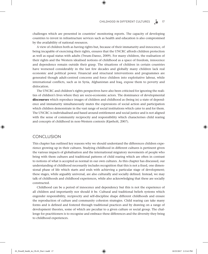challenges which are presented in countries' monitoring reports. The capacity of developing countries to invest in infrastructure services such as health and education is also compromised by the availability of national resources.

⊕

A view of children both as having rights but, because of their immaturity and innocence, of being incapable of exercising their rights, ensures that the UNCRC affords children protection as well as equal status with adults (Twum-Danso, 2009). For many children, the realisation of their rights and the Western idealised notions of childhood as a space of freedom, innocence and dependence remain outside their grasp. The situations of children in certain countries have worsened considerably in the last few decades and globally many children lack real economic and political power. Financial and structural interventions and programmes are generated though adult-centred concerns and force children into exploitative labour, while international conflicts, such as in Syria, Afghanistan and Iraq, expose them to poverty and dislocation.

The UNCRC and children's rights perspectives have also been criticised for ignoring the realities of children's lives where they are socio-economic actors. The dominance of developmental **discourses** which reproduce images of children and childhood as (being in) a state of dependence and immaturity simultaneously mutes the expressions of social action and participation which children demonstrate in the vast range of social institutions which cater to and for them. The UNCRC is individualised and based around entitlement and social justice and is not aligned with the sense of community reciprocity and responsibility which characterises child rearing and concepts of childhood in non-Western contexts (Kjørholt, 2007).

#### CONCLUSION

♠

This chapter has outlined key reasons why we should understand the differences children experience growing up in their cultures. Studying childhood in different cultures is pertinent given the various impacts of globalisation and the international migratory movements of people who bring with them cultures and traditional patterns of child rearing which are often in contrast to notions of what is accepted as normal in our own cultures. As this chapter has discussed, our understanding of childhood necessarily includes recognition that this is not a fixed, one dimensional phase of life which starts and ends with achieving a particular stage of development; these stages, while arguably universal, are also culturally and socially defined. Instead, we may talk of childhoods and childhood experiences, while also acknowledging that these are socially constructed.

Childhood can be a period of innocence and dependency but this is not the experience of all children and importantly nor should it be. Cultural and traditional beliefs systems which engender responsibility, reciprocity and self-discipline shape different childhoods and ensure the reproduction of culture and community cohesion strategies. Child rearing can take many forms and is defined and fostered through traditional practices and by drawing on a range of development theories, some of which are peculiar to a given culture or social group. The challenge for practitioners is to recognise and embrace these differences and the diversity they bring to childhood experiences.